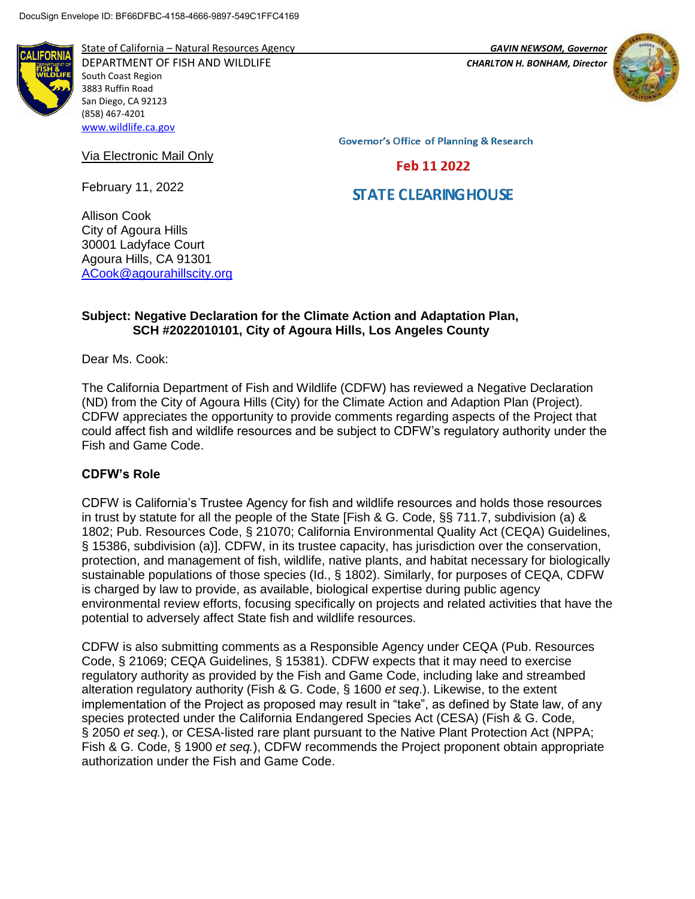**IFOR** 

State of California – Natural Resources Agency *GAVIN NEWSOM, Governor* DEPARTMENT OF FISH AND WILDLIFE *CHARLTON H. BONHAM, Director*  South Coast Region 3883 Ruffin Road San Diego, CA 92123 (858) 467-4201 [www.wildlife.ca.gov](http://www.wildlife.ca.gov/)



**Governor's Office of Planning & Research** 

Feb 11 2022

**STATE CLEARING HOUSE** 

Allison Cook City of Agoura Hills 30001 Ladyface Court Agoura Hills, CA 91301 [ACook@agourahillscity.org](mailto:ACook@agourahillscity.org)

Via Electronic Mail Only

February 11, 2022

#### **Subject: Negative Declaration for the Climate Action and Adaptation Plan, SCH #2022010101, City of Agoura Hills, Los Angeles County**

Dear Ms. Cook:

The California Department of Fish and Wildlife (CDFW) has reviewed a Negative Declaration (ND) from the City of Agoura Hills (City) for the Climate Action and Adaption Plan (Project). CDFW appreciates the opportunity to provide comments regarding aspects of the Project that could affect fish and wildlife resources and be subject to CDFW's regulatory authority under the Fish and Game Code.

## **CDFW's Role**

CDFW is California's Trustee Agency for fish and wildlife resources and holds those resources in trust by statute for all the people of the State [Fish & G. Code, §§ 711.7, subdivision (a) & 1802; Pub. Resources Code, § 21070; California Environmental Quality Act (CEQA) Guidelines, § 15386, subdivision (a)]. CDFW, in its trustee capacity, has jurisdiction over the conservation, protection, and management of fish, wildlife, native plants, and habitat necessary for biologically sustainable populations of those species (Id., § 1802). Similarly, for purposes of CEQA, CDFW is charged by law to provide, as available, biological expertise during public agency environmental review efforts, focusing specifically on projects and related activities that have the potential to adversely affect State fish and wildlife resources.

CDFW is also submitting comments as a Responsible Agency under CEQA (Pub. Resources Code, § 21069; CEQA Guidelines, § 15381). CDFW expects that it may need to exercise regulatory authority as provided by the Fish and Game Code, including lake and streambed alteration regulatory authority (Fish & G. Code, § 1600 *et seq*.). Likewise, to the extent implementation of the Project as proposed may result in "take", as defined by State law, of any species protected under the California Endangered Species Act (CESA) (Fish & G. Code, § 2050 *et seq.*), or CESA-listed rare plant pursuant to the Native Plant Protection Act (NPPA; Fish & G. Code, § 1900 *et seq.*), CDFW recommends the Project proponent obtain appropriate authorization under the Fish and Game Code.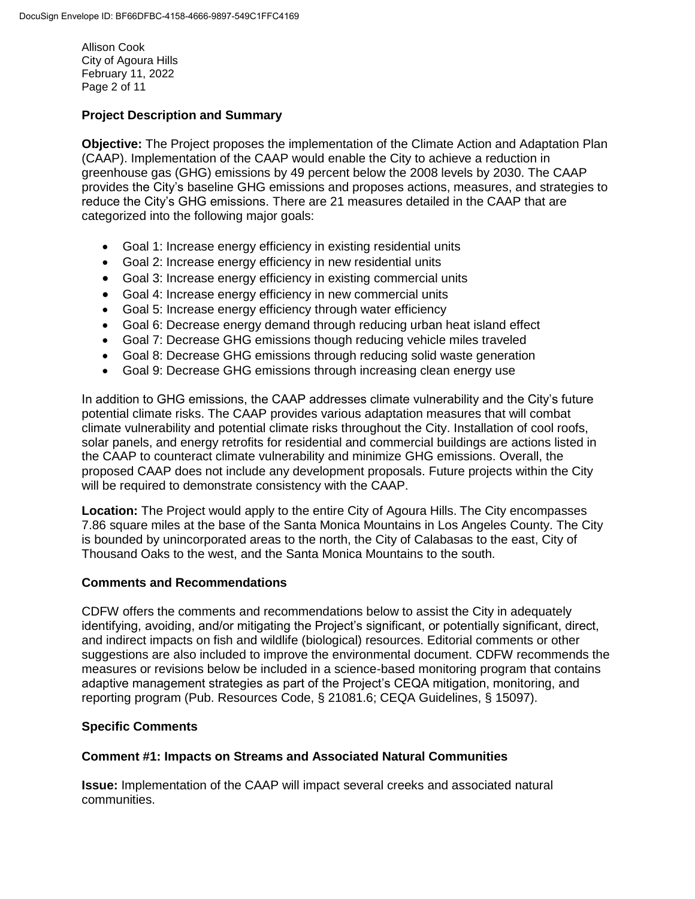Allison Cook City of Agoura Hills February 11, 2022 Page 2 of 11

## **Project Description and Summary**

**Objective:** The Project proposes the implementation of the Climate Action and Adaptation Plan (CAAP). Implementation of the CAAP would enable the City to achieve a reduction in greenhouse gas (GHG) emissions by 49 percent below the 2008 levels by 2030. The CAAP provides the City's baseline GHG emissions and proposes actions, measures, and strategies to reduce the City's GHG emissions. There are 21 measures detailed in the CAAP that are categorized into the following major goals:

- Goal 1: Increase energy efficiency in existing residential units
- Goal 2: Increase energy efficiency in new residential units
- Goal 3: Increase energy efficiency in existing commercial units
- Goal 4: Increase energy efficiency in new commercial units
- Goal 5: Increase energy efficiency through water efficiency
- Goal 6: Decrease energy demand through reducing urban heat island effect
- Goal 7: Decrease GHG emissions though reducing vehicle miles traveled
- Goal 8: Decrease GHG emissions through reducing solid waste generation
- Goal 9: Decrease GHG emissions through increasing clean energy use

In addition to GHG emissions, the CAAP addresses climate vulnerability and the City's future potential climate risks. The CAAP provides various adaptation measures that will combat climate vulnerability and potential climate risks throughout the City. Installation of cool roofs, solar panels, and energy retrofits for residential and commercial buildings are actions listed in the CAAP to counteract climate vulnerability and minimize GHG emissions. Overall, the proposed CAAP does not include any development proposals. Future projects within the City will be required to demonstrate consistency with the CAAP.

**Location:** The Project would apply to the entire City of Agoura Hills. The City encompasses 7.86 square miles at the base of the Santa Monica Mountains in Los Angeles County. The City is bounded by unincorporated areas to the north, the City of Calabasas to the east, City of Thousand Oaks to the west, and the Santa Monica Mountains to the south.

#### **Comments and Recommendations**

CDFW offers the comments and recommendations below to assist the City in adequately identifying, avoiding, and/or mitigating the Project's significant, or potentially significant, direct, and indirect impacts on fish and wildlife (biological) resources. Editorial comments or other suggestions are also included to improve the environmental document. CDFW recommends the measures or revisions below be included in a science-based monitoring program that contains adaptive management strategies as part of the Project's CEQA mitigation, monitoring, and reporting program (Pub. Resources Code, § 21081.6; CEQA Guidelines, § 15097).

## **Specific Comments**

#### **Comment #1: Impacts on Streams and Associated Natural Communities**

**Issue:** Implementation of the CAAP will impact several creeks and associated natural communities.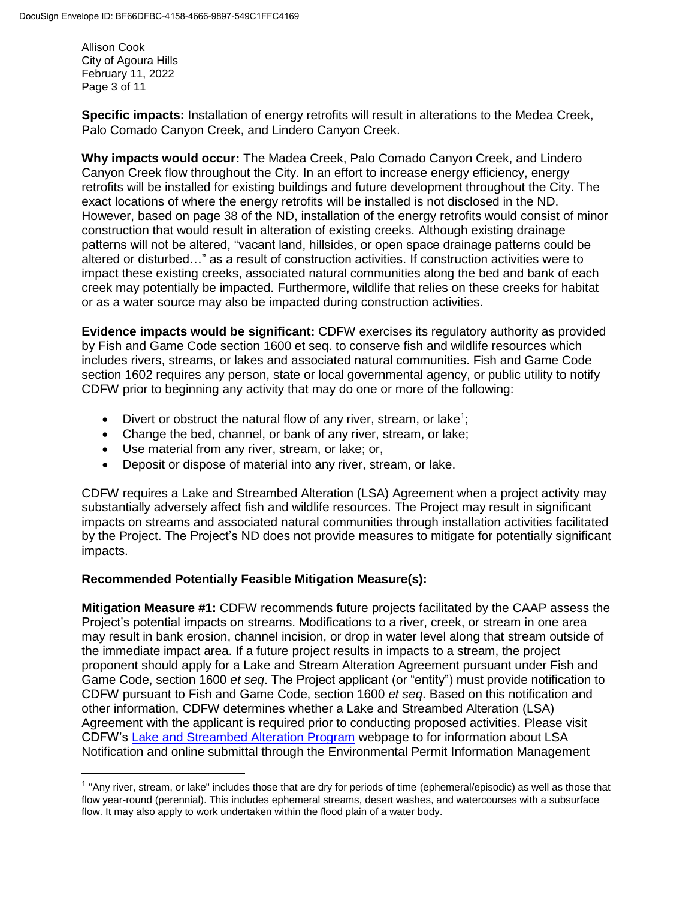Allison Cook City of Agoura Hills February 11, 2022 Page 3 of 11

 $\overline{\phantom{a}}$ 

**Specific impacts:** Installation of energy retrofits will result in alterations to the Medea Creek, Palo Comado Canyon Creek, and Lindero Canyon Creek.

**Why impacts would occur:** The Madea Creek, Palo Comado Canyon Creek, and Lindero Canyon Creek flow throughout the City. In an effort to increase energy efficiency, energy retrofits will be installed for existing buildings and future development throughout the City. The exact locations of where the energy retrofits will be installed is not disclosed in the ND. However, based on page 38 of the ND, installation of the energy retrofits would consist of minor construction that would result in alteration of existing creeks. Although existing drainage patterns will not be altered, "vacant land, hillsides, or open space drainage patterns could be altered or disturbed…" as a result of construction activities. If construction activities were to impact these existing creeks, associated natural communities along the bed and bank of each creek may potentially be impacted. Furthermore, wildlife that relies on these creeks for habitat or as a water source may also be impacted during construction activities.

**Evidence impacts would be significant:** CDFW exercises its regulatory authority as provided by Fish and Game Code section 1600 et seq. to conserve fish and wildlife resources which includes rivers, streams, or lakes and associated natural communities. Fish and Game Code section 1602 requires any person, state or local governmental agency, or public utility to notify CDFW prior to beginning any activity that may do one or more of the following:

- Divert or obstruct the natural flow of any river, stream, or lake<sup>1</sup>;
- Change the bed, channel, or bank of any river, stream, or lake;
- Use material from any river, stream, or lake; or,
- Deposit or dispose of material into any river, stream, or lake.

CDFW requires a Lake and Streambed Alteration (LSA) Agreement when a project activity may substantially adversely affect fish and wildlife resources. The Project may result in significant impacts on streams and associated natural communities through installation activities facilitated by the Project. The Project's ND does not provide measures to mitigate for potentially significant impacts.

## **Recommended Potentially Feasible Mitigation Measure(s):**

**Mitigation Measure #1:** CDFW recommends future projects facilitated by the CAAP assess the Project's potential impacts on streams. Modifications to a river, creek, or stream in one area may result in bank erosion, channel incision, or drop in water level along that stream outside of the immediate impact area. If a future project results in impacts to a stream, the project proponent should apply for a Lake and Stream Alteration Agreement pursuant under Fish and Game Code, section 1600 *et seq*. The Project applicant (or "entity") must provide notification to CDFW pursuant to Fish and Game Code, section 1600 *et seq*. Based on this notification and other information, CDFW determines whether a Lake and Streambed Alteration (LSA) Agreement with the applicant is required prior to conducting proposed activities. Please visit CDFW's [Lake and Streambed Alteration Program](https://wildlife.ca.gov/Conservation/Environmental-Review/LSA) webpage to for information about LSA Notification and online submittal through the Environmental Permit Information Management

<sup>&</sup>lt;sup>1</sup> "Any river, stream, or lake" includes those that are dry for periods of time (ephemeral/episodic) as well as those that flow year-round (perennial). This includes ephemeral streams, desert washes, and watercourses with a subsurface flow. It may also apply to work undertaken within the flood plain of a water body.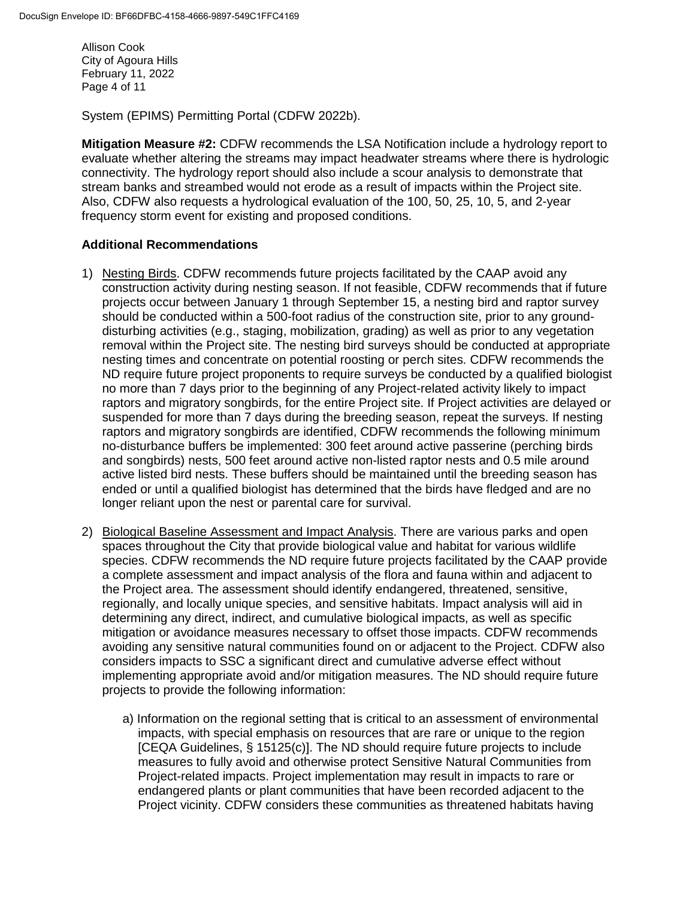Allison Cook City of Agoura Hills February 11, 2022 Page 4 of 11

System (EPIMS) Permitting Portal (CDFW 2022b).

**Mitigation Measure #2:** CDFW recommends the LSA Notification include a hydrology report to evaluate whether altering the streams may impact headwater streams where there is hydrologic connectivity. The hydrology report should also include a scour analysis to demonstrate that stream banks and streambed would not erode as a result of impacts within the Project site. Also, CDFW also requests a hydrological evaluation of the 100, 50, 25, 10, 5, and 2-year frequency storm event for existing and proposed conditions.

#### **Additional Recommendations**

- 1) Nesting Birds. CDFW recommends future projects facilitated by the CAAP avoid any construction activity during nesting season. If not feasible, CDFW recommends that if future projects occur between January 1 through September 15, a nesting bird and raptor survey should be conducted within a 500-foot radius of the construction site, prior to any grounddisturbing activities (e.g., staging, mobilization, grading) as well as prior to any vegetation removal within the Project site. The nesting bird surveys should be conducted at appropriate nesting times and concentrate on potential roosting or perch sites. CDFW recommends the ND require future project proponents to require surveys be conducted by a qualified biologist no more than 7 days prior to the beginning of any Project-related activity likely to impact raptors and migratory songbirds, for the entire Project site. If Project activities are delayed or suspended for more than 7 days during the breeding season, repeat the surveys. If nesting raptors and migratory songbirds are identified, CDFW recommends the following minimum no-disturbance buffers be implemented: 300 feet around active passerine (perching birds and songbirds) nests, 500 feet around active non-listed raptor nests and 0.5 mile around active listed bird nests. These buffers should be maintained until the breeding season has ended or until a qualified biologist has determined that the birds have fledged and are no longer reliant upon the nest or parental care for survival.
- 2) Biological Baseline Assessment and Impact Analysis. There are various parks and open spaces throughout the City that provide biological value and habitat for various wildlife species. CDFW recommends the ND require future projects facilitated by the CAAP provide a complete assessment and impact analysis of the flora and fauna within and adjacent to the Project area. The assessment should identify endangered, threatened, sensitive, regionally, and locally unique species, and sensitive habitats. Impact analysis will aid in determining any direct, indirect, and cumulative biological impacts, as well as specific mitigation or avoidance measures necessary to offset those impacts. CDFW recommends avoiding any sensitive natural communities found on or adjacent to the Project. CDFW also considers impacts to SSC a significant direct and cumulative adverse effect without implementing appropriate avoid and/or mitigation measures. The ND should require future projects to provide the following information:
	- a) Information on the regional setting that is critical to an assessment of environmental impacts, with special emphasis on resources that are rare or unique to the region [CEQA Guidelines, § 15125(c)]. The ND should require future projects to include measures to fully avoid and otherwise protect Sensitive Natural Communities from Project-related impacts. Project implementation may result in impacts to rare or endangered plants or plant communities that have been recorded adjacent to the Project vicinity. CDFW considers these communities as threatened habitats having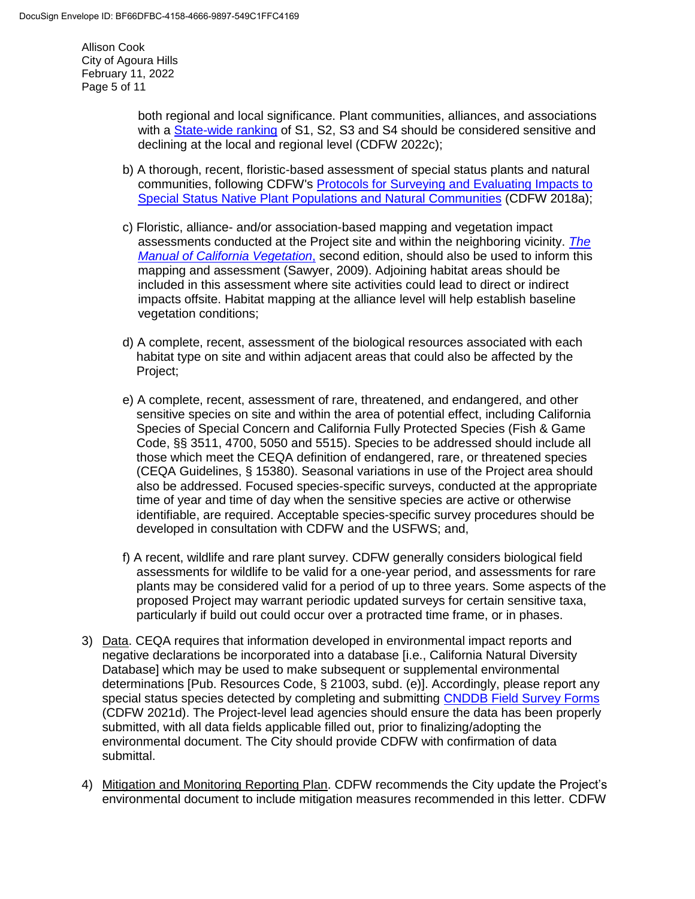Allison Cook City of Agoura Hills February 11, 2022 Page 5 of 11

> both regional and local significance. Plant communities, alliances, and associations with a [State-wide ranking](https://wildlife.ca.gov/Data/VegCAMP/Natural-Communities#sensitive%20natural%20communities) of S1, S2, S3 and S4 should be considered sensitive and declining at the local and regional level (CDFW 2022c);

- b) A thorough, recent, floristic-based assessment of special status plants and natural communities, following CDFW's [Protocols for Surveying and Evaluating Impacts to](https://nrm.dfg.ca.gov/FileHandler.ashx?DocumentID=18959&inline) [Special Status Native Plant Populations and Natural Communities](https://nrm.dfg.ca.gov/FileHandler.ashx?DocumentID=18959&inline) (CDFW 2018a);
- c) Floristic, alliance- and/or association-based mapping and vegetation impact assessments conducted at the Project site and within the neighboring vicinity. *[The](https://vegetation.cnps.org/) [Manual of California Vegetation](https://vegetation.cnps.org/)*, second edition, should also be used to inform this mapping and assessment (Sawyer, 2009). Adjoining habitat areas should be included in this assessment where site activities could lead to direct or indirect impacts offsite. Habitat mapping at the alliance level will help establish baseline vegetation conditions;
- d) A complete, recent, assessment of the biological resources associated with each habitat type on site and within adjacent areas that could also be affected by the Project;
- e) A complete, recent, assessment of rare, threatened, and endangered, and other sensitive species on site and within the area of potential effect, including California Species of Special Concern and California Fully Protected Species (Fish & Game Code, §§ 3511, 4700, 5050 and 5515). Species to be addressed should include all those which meet the CEQA definition of endangered, rare, or threatened species (CEQA Guidelines, § 15380). Seasonal variations in use of the Project area should also be addressed. Focused species-specific surveys, conducted at the appropriate time of year and time of day when the sensitive species are active or otherwise identifiable, are required. Acceptable species-specific survey procedures should be developed in consultation with CDFW and the USFWS; and,
- f) A recent, wildlife and rare plant survey. CDFW generally considers biological field assessments for wildlife to be valid for a one-year period, and assessments for rare plants may be considered valid for a period of up to three years. Some aspects of the proposed Project may warrant periodic updated surveys for certain sensitive taxa, particularly if build out could occur over a protracted time frame, or in phases.
- 3) Data. CEQA requires that information developed in environmental impact reports and negative declarations be incorporated into a database [i.e., California Natural Diversity Database] which may be used to make subsequent or supplemental environmental determinations [Pub. Resources Code, § 21003, subd. (e)]. Accordingly, please report any special status species detected by completing and submitting [CNDDB Field Survey Forms](https://wildlife.ca.gov/Data/CNDDB/Submitting-Data) (CDFW 2021d). The Project-level lead agencies should ensure the data has been properly submitted, with all data fields applicable filled out, prior to finalizing/adopting the environmental document. The City should provide CDFW with confirmation of data submittal.
- 4) Mitigation and Monitoring Reporting Plan. CDFW recommends the City update the Project's environmental document to include mitigation measures recommended in this letter. CDFW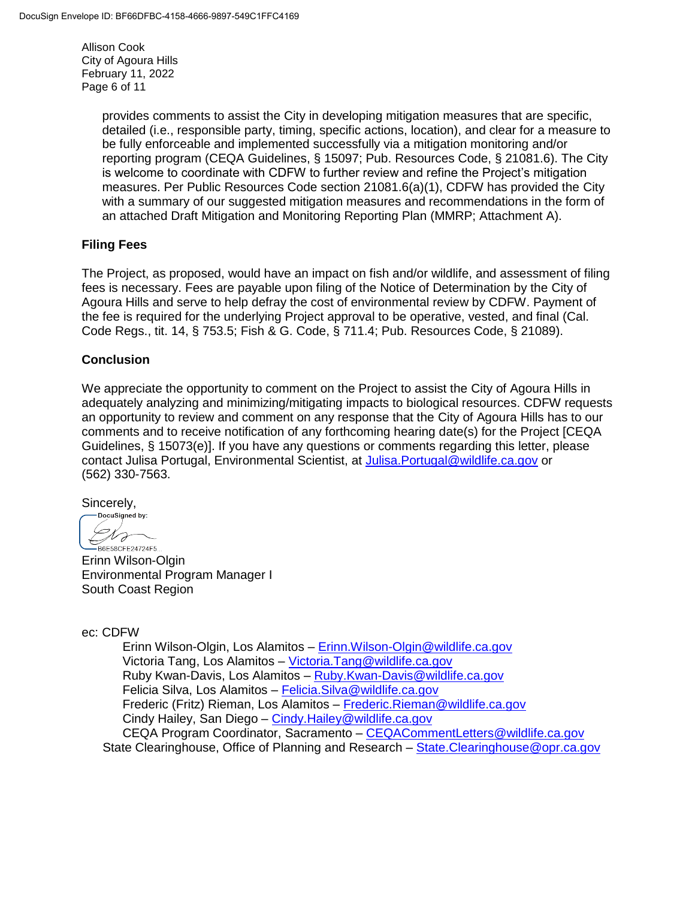Allison Cook City of Agoura Hills February 11, 2022 Page 6 of 11

> provides comments to assist the City in developing mitigation measures that are specific, detailed (i.e., responsible party, timing, specific actions, location), and clear for a measure to be fully enforceable and implemented successfully via a mitigation monitoring and/or reporting program (CEQA Guidelines, § 15097; Pub. Resources Code, § 21081.6). The City is welcome to coordinate with CDFW to further review and refine the Project's mitigation measures. Per Public Resources Code section 21081.6(a)(1), CDFW has provided the City with a summary of our suggested mitigation measures and recommendations in the form of an attached Draft Mitigation and Monitoring Reporting Plan (MMRP; Attachment A).

## **Filing Fees**

The Project, as proposed, would have an impact on fish and/or wildlife, and assessment of filing fees is necessary. Fees are payable upon filing of the Notice of Determination by the City of Agoura Hills and serve to help defray the cost of environmental review by CDFW. Payment of the fee is required for the underlying Project approval to be operative, vested, and final (Cal. Code Regs., tit. 14, § 753.5; Fish & G. Code, § 711.4; Pub. Resources Code, § 21089).

# **Conclusion**

We appreciate the opportunity to comment on the Project to assist the City of Agoura Hills in adequately analyzing and minimizing/mitigating impacts to biological resources. CDFW requests an opportunity to review and comment on any response that the City of Agoura Hills has to our comments and to receive notification of any forthcoming hearing date(s) for the Project [CEQA Guidelines, § 15073(e)]. If you have any questions or comments regarding this letter, please contact Julisa Portugal, Environmental Scientist, at [Julisa.Portugal@wildlife.ca.gov](mailto:Julisa.Portugal@wildlife.ca.gov) or (562) 330-7563.

Sincerely,<br> **Docusigned** by:

ts B6E58CFE24724F5...

Erinn Wilson-Olgin Environmental Program Manager I South Coast Region

ec: CDFW

Erinn Wilson-Olgin, Los Alamitos – [Erinn.Wilson-Olgin@wildlife.ca.gov](mailto:Erinn.Wilson-Olgin@wildlife.ca.gov) Victoria Tang, Los Alamitos – [Victoria.Tang@wildlife.ca.gov](mailto:Victoria.Tang@wildlife.ca.gov) Ruby Kwan-Davis, Los Alamitos – [Ruby.Kwan-Davis@wildlife.ca.gov](mailto:Ruby.Kwan-Davis@wildlife.ca.gov) Felicia Silva, Los Alamitos – [Felicia.Silva@wildlife.ca.gov](mailto:Felicia.Silva@wildlife.ca.gov) Frederic (Fritz) Rieman, Los Alamitos - [Frederic.Rieman@wildlife.ca.gov](mailto:Frederic.Rieman@wildlife.ca.gov) Cindy Hailey, San Diego – [Cindy.Hailey@wildlife.ca.gov](mailto:Cindy.Hailey@wildlife.ca.gov) CEQA Program Coordinator, Sacramento – [CEQACommentLetters@wildlife.ca.gov](mailto:CEQACommentLetters@wildlife.ca.gov)  State Clearinghouse, Office of Planning and Research – [State.Clearinghouse@opr.ca.gov](mailto:State.Clearinghouse@opr.ca.gov)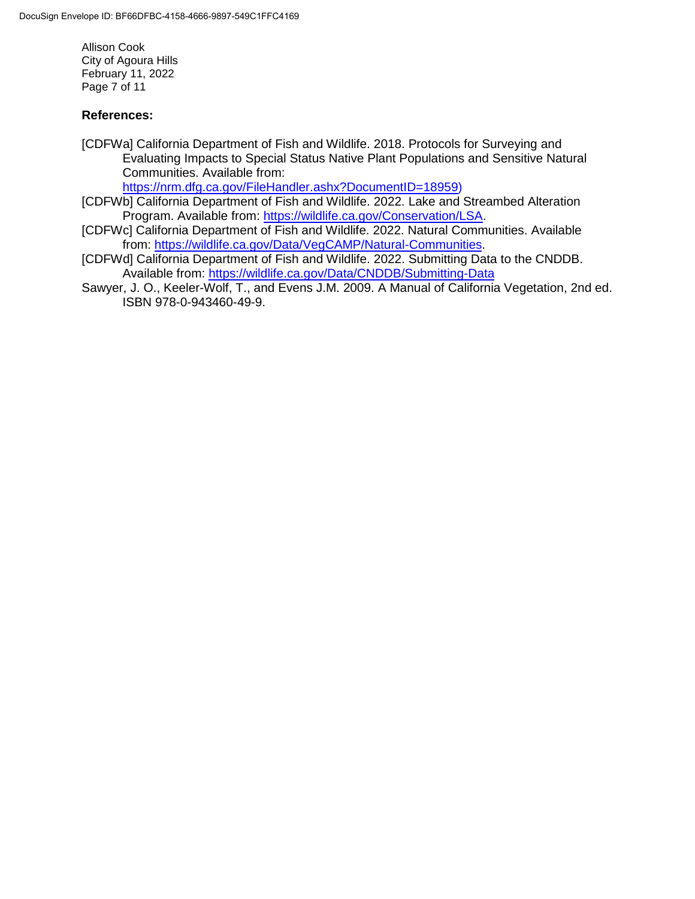Allison Cook City of Agoura Hills February 11, 2022 Page 7 of 11

#### **References:**

[CDFWa] California Department of Fish and Wildlife. 2018. Protocols for Surveying and Evaluating Impacts to Special Status Native Plant Populations and Sensitive Natural Communities. Available from:

[https://nrm.dfg.ca.gov/FileHandler.ashx?DocumentID=18959\)](https://nrm.dfg.ca.gov/FileHandler.ashx?DocumentID=18959)

- [CDFWb] California Department of Fish and Wildlife. 2022. Lake and Streambed Alteration Program. Available from: [https://wildlife.ca.gov/Conservation/LSA.](https://wildlife.ca.gov/Conservation/LSA)
- [CDFWc] California Department of Fish and Wildlife. 2022. Natural Communities. Available from: [https://wildlife.ca.gov/Data/VegCAMP/Natural-Communities.](https://wildlife.ca.gov/Data/VegCAMP/Natural-Communities)
- [CDFWd] California Department of Fish and Wildlife. 2022. Submitting Data to the CNDDB. Available from:<https://wildlife.ca.gov/Data/CNDDB/Submitting-Data>
- Sawyer, J. O., Keeler-Wolf, T., and Evens J.M. 2009. A Manual of California Vegetation, 2nd ed. ISBN 978-0-943460-49-9.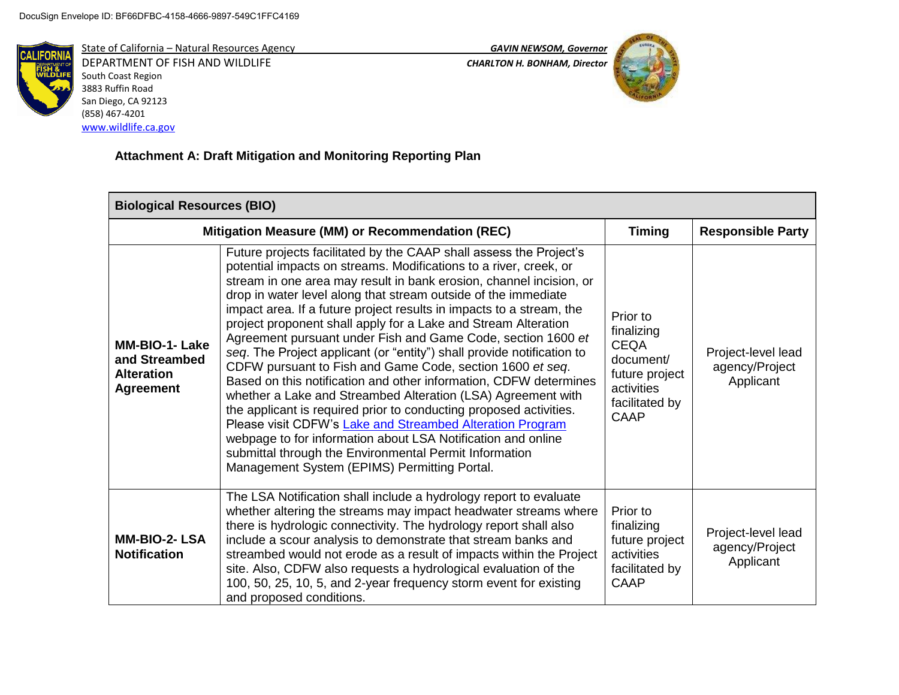[www.wildlife.ca.gov](http://www.wildlife.ca.gov/)



DEPARTMENT OF FISH AND WILDLIFE *CHARLTON H. BONHAM, Director*  South Coast Region 3883 Ruffin Road San Diego, CA 92123 (858) 467-4201

State of California – Natural Resources Agency *GAVIN NEWSOM, Governor*



# **Attachment A: Draft Mitigation and Monitoring Reporting Plan**

| <b>Biological Resources (BIO)</b>                                        |                                                                                                                                                                                                                                                                                                                                                                                                                                                                                                                                                                                                                                                                                                                                                                                                                                                                                                                                                                                                                                                                                     |                                                                                                              |                                                   |  |
|--------------------------------------------------------------------------|-------------------------------------------------------------------------------------------------------------------------------------------------------------------------------------------------------------------------------------------------------------------------------------------------------------------------------------------------------------------------------------------------------------------------------------------------------------------------------------------------------------------------------------------------------------------------------------------------------------------------------------------------------------------------------------------------------------------------------------------------------------------------------------------------------------------------------------------------------------------------------------------------------------------------------------------------------------------------------------------------------------------------------------------------------------------------------------|--------------------------------------------------------------------------------------------------------------|---------------------------------------------------|--|
| Mitigation Measure (MM) or Recommendation (REC)                          |                                                                                                                                                                                                                                                                                                                                                                                                                                                                                                                                                                                                                                                                                                                                                                                                                                                                                                                                                                                                                                                                                     | <b>Timing</b>                                                                                                | <b>Responsible Party</b>                          |  |
| MM-BIO-1- Lake<br>and Streambed<br><b>Alteration</b><br><b>Agreement</b> | Future projects facilitated by the CAAP shall assess the Project's<br>potential impacts on streams. Modifications to a river, creek, or<br>stream in one area may result in bank erosion, channel incision, or<br>drop in water level along that stream outside of the immediate<br>impact area. If a future project results in impacts to a stream, the<br>project proponent shall apply for a Lake and Stream Alteration<br>Agreement pursuant under Fish and Game Code, section 1600 et<br>seq. The Project applicant (or "entity") shall provide notification to<br>CDFW pursuant to Fish and Game Code, section 1600 et seq.<br>Based on this notification and other information, CDFW determines<br>whether a Lake and Streambed Alteration (LSA) Agreement with<br>the applicant is required prior to conducting proposed activities.<br>Please visit CDFW's Lake and Streambed Alteration Program<br>webpage to for information about LSA Notification and online<br>submittal through the Environmental Permit Information<br>Management System (EPIMS) Permitting Portal. | Prior to<br>finalizing<br><b>CEQA</b><br>document/<br>future project<br>activities<br>facilitated by<br>CAAP | Project-level lead<br>agency/Project<br>Applicant |  |
| <b>MM-BIO-2-LSA</b><br><b>Notification</b>                               | The LSA Notification shall include a hydrology report to evaluate<br>whether altering the streams may impact headwater streams where<br>there is hydrologic connectivity. The hydrology report shall also<br>include a scour analysis to demonstrate that stream banks and<br>streambed would not erode as a result of impacts within the Project<br>site. Also, CDFW also requests a hydrological evaluation of the<br>100, 50, 25, 10, 5, and 2-year frequency storm event for existing<br>and proposed conditions.                                                                                                                                                                                                                                                                                                                                                                                                                                                                                                                                                               | Prior to<br>finalizing<br>future project<br>activities<br>facilitated by<br>CAAP                             | Project-level lead<br>agency/Project<br>Applicant |  |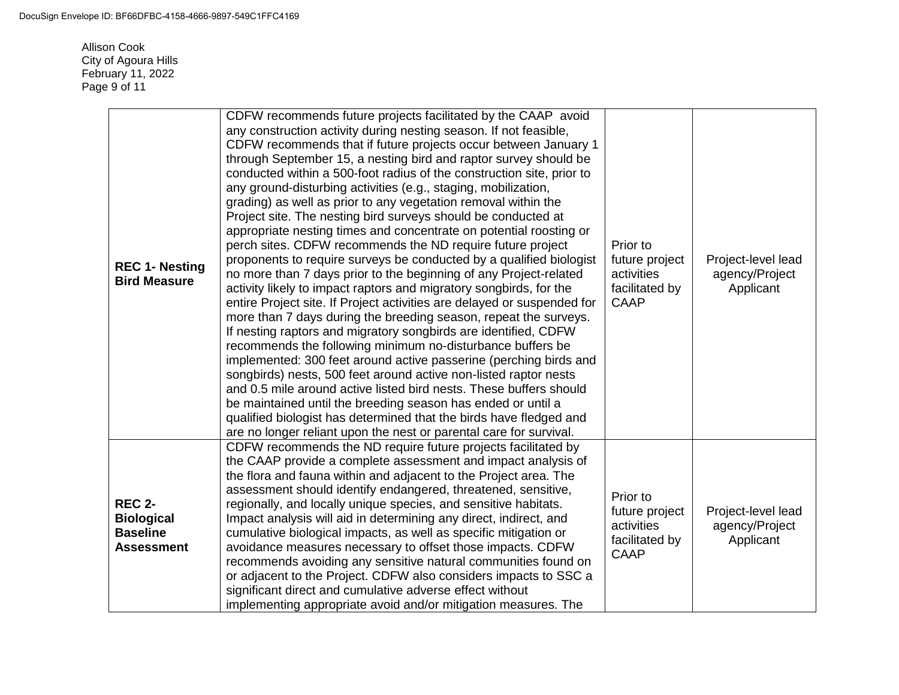Allison Cook City of Agoura Hills February 11, 2022 Page 9 of 11

| <b>REC 1- Nesting</b><br><b>Bird Measure</b>                               | CDFW recommends future projects facilitated by the CAAP avoid<br>any construction activity during nesting season. If not feasible,<br>CDFW recommends that if future projects occur between January 1<br>through September 15, a nesting bird and raptor survey should be<br>conducted within a 500-foot radius of the construction site, prior to<br>any ground-disturbing activities (e.g., staging, mobilization,<br>grading) as well as prior to any vegetation removal within the<br>Project site. The nesting bird surveys should be conducted at<br>appropriate nesting times and concentrate on potential roosting or<br>perch sites. CDFW recommends the ND require future project<br>proponents to require surveys be conducted by a qualified biologist<br>no more than 7 days prior to the beginning of any Project-related<br>activity likely to impact raptors and migratory songbirds, for the<br>entire Project site. If Project activities are delayed or suspended for<br>more than 7 days during the breeding season, repeat the surveys.<br>If nesting raptors and migratory songbirds are identified, CDFW<br>recommends the following minimum no-disturbance buffers be<br>implemented: 300 feet around active passerine (perching birds and<br>songbirds) nests, 500 feet around active non-listed raptor nests<br>and 0.5 mile around active listed bird nests. These buffers should<br>be maintained until the breeding season has ended or until a<br>qualified biologist has determined that the birds have fledged and<br>are no longer reliant upon the nest or parental care for survival. | Prior to<br>future project<br>activities<br>facilitated by<br><b>CAAP</b> | Project-level lead<br>agency/Project<br>Applicant |
|----------------------------------------------------------------------------|--------------------------------------------------------------------------------------------------------------------------------------------------------------------------------------------------------------------------------------------------------------------------------------------------------------------------------------------------------------------------------------------------------------------------------------------------------------------------------------------------------------------------------------------------------------------------------------------------------------------------------------------------------------------------------------------------------------------------------------------------------------------------------------------------------------------------------------------------------------------------------------------------------------------------------------------------------------------------------------------------------------------------------------------------------------------------------------------------------------------------------------------------------------------------------------------------------------------------------------------------------------------------------------------------------------------------------------------------------------------------------------------------------------------------------------------------------------------------------------------------------------------------------------------------------------------------------------------------------------------------|---------------------------------------------------------------------------|---------------------------------------------------|
| <b>REC 2-</b><br><b>Biological</b><br><b>Baseline</b><br><b>Assessment</b> | CDFW recommends the ND require future projects facilitated by<br>the CAAP provide a complete assessment and impact analysis of<br>the flora and fauna within and adjacent to the Project area. The<br>assessment should identify endangered, threatened, sensitive,<br>regionally, and locally unique species, and sensitive habitats.<br>Impact analysis will aid in determining any direct, indirect, and<br>cumulative biological impacts, as well as specific mitigation or<br>avoidance measures necessary to offset those impacts. CDFW<br>recommends avoiding any sensitive natural communities found on<br>or adjacent to the Project. CDFW also considers impacts to SSC a<br>significant direct and cumulative adverse effect without<br>implementing appropriate avoid and/or mitigation measures. The                                                                                                                                                                                                                                                                                                                                                                                                                                                                                                                                                                                                                                                                                                                                                                                                        | Prior to<br>future project<br>activities<br>facilitated by<br><b>CAAP</b> | Project-level lead<br>agency/Project<br>Applicant |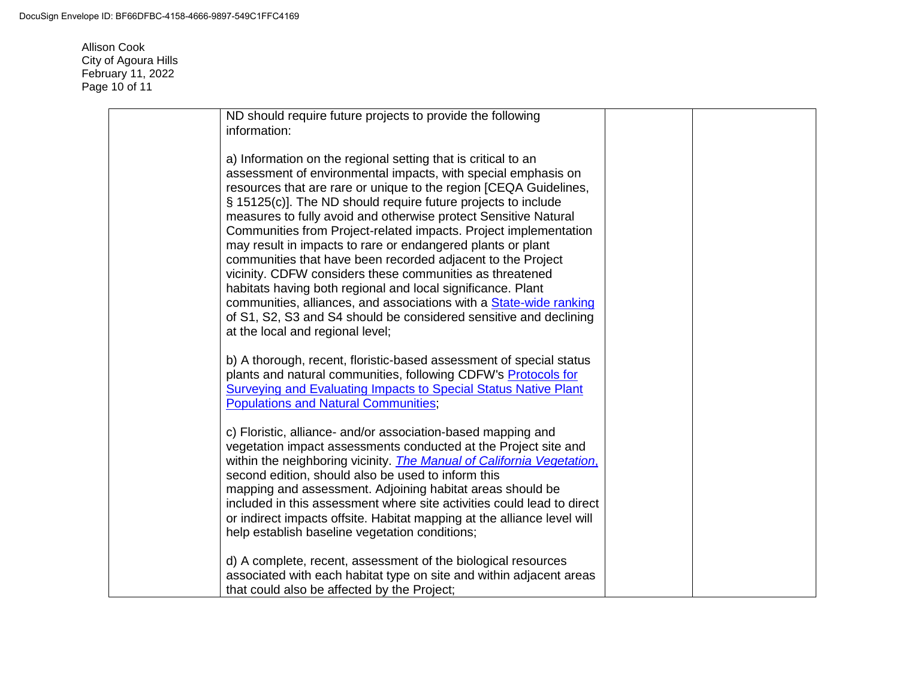DocuSign Envelope ID: BF66DFBC-4158-4666-9897-549C1FFC4169

Allison Cook City of Agoura Hills February 11, 2022 Page 10 of 11

| ND should require future projects to provide the following<br>information:                                                                                                                                                                                                                                                                                                                                                                                                                                                                                                                                                                                                                                                                                                                                                                                 |  |
|------------------------------------------------------------------------------------------------------------------------------------------------------------------------------------------------------------------------------------------------------------------------------------------------------------------------------------------------------------------------------------------------------------------------------------------------------------------------------------------------------------------------------------------------------------------------------------------------------------------------------------------------------------------------------------------------------------------------------------------------------------------------------------------------------------------------------------------------------------|--|
| a) Information on the regional setting that is critical to an<br>assessment of environmental impacts, with special emphasis on<br>resources that are rare or unique to the region [CEQA Guidelines,<br>§ 15125(c)]. The ND should require future projects to include<br>measures to fully avoid and otherwise protect Sensitive Natural<br>Communities from Project-related impacts. Project implementation<br>may result in impacts to rare or endangered plants or plant<br>communities that have been recorded adjacent to the Project<br>vicinity. CDFW considers these communities as threatened<br>habitats having both regional and local significance. Plant<br>communities, alliances, and associations with a <b>State-wide ranking</b><br>of S1, S2, S3 and S4 should be considered sensitive and declining<br>at the local and regional level; |  |
| b) A thorough, recent, floristic-based assessment of special status<br>plants and natural communities, following CDFW's Protocols for<br>Surveying and Evaluating Impacts to Special Status Native Plant<br><b>Populations and Natural Communities;</b>                                                                                                                                                                                                                                                                                                                                                                                                                                                                                                                                                                                                    |  |
| c) Floristic, alliance- and/or association-based mapping and<br>vegetation impact assessments conducted at the Project site and<br>within the neighboring vicinity. The Manual of California Vegetation.<br>second edition, should also be used to inform this<br>mapping and assessment. Adjoining habitat areas should be<br>included in this assessment where site activities could lead to direct<br>or indirect impacts offsite. Habitat mapping at the alliance level will<br>help establish baseline vegetation conditions;                                                                                                                                                                                                                                                                                                                         |  |
| d) A complete, recent, assessment of the biological resources<br>associated with each habitat type on site and within adjacent areas<br>that could also be affected by the Project;                                                                                                                                                                                                                                                                                                                                                                                                                                                                                                                                                                                                                                                                        |  |